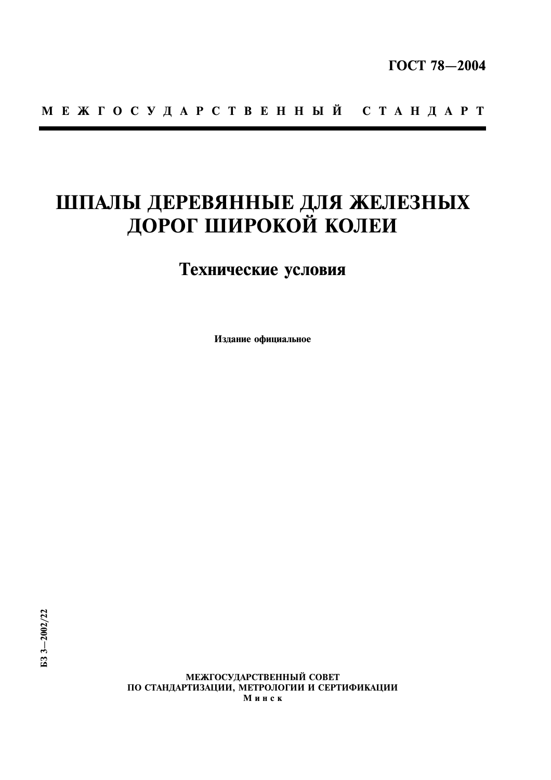# МЕЖГОСУДАРСТВЕННЫЙ СТАНДАРТ

# ШПАЛЫ ДЕРЕВЯННЫЕ ДЛЯ ЖЕЛЕЗНЫХ ДОРОГ ШИРОКОЙ КОЛЕИ

# Технические условия

Издание официальное

МЕЖГОСУДАРСТВЕННЫЙ СОВЕТ ПО СТАНДАРТИЗАЦИИ, МЕТРОЛОГИИ И СЕРТИФИКАЦИИ Минск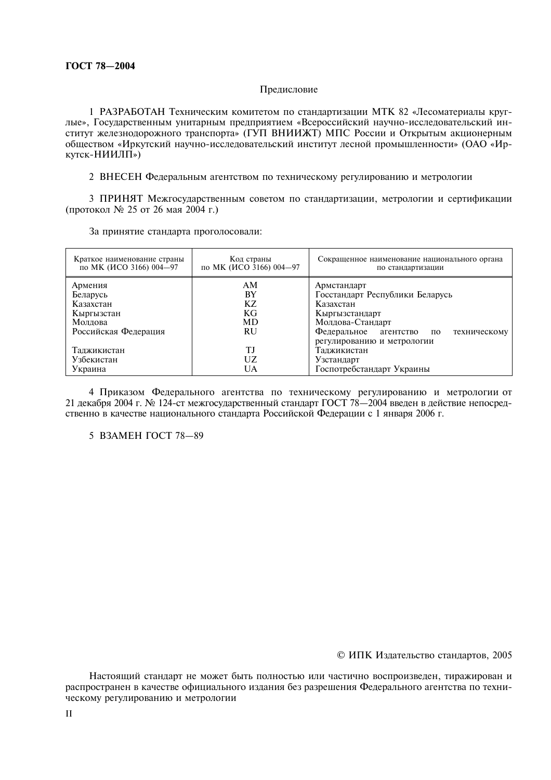# Предисловие

1 РАЗРАБОТАН Техническим комитетом по стандартизации МТК 82 «Лесоматериалы круглые», Государственным унитарным предприятием «Всероссийский научно-исследовательский институт железнодорожного транспорта» (ГУП ВНИИЖТ) МПС России и Открытым акционерным обществом «Иркутский научно-исследовательский институт лесной промышленности» (ОАО «Иркутск-НИИЛП»)

2 ВНЕСЕН Федеральным агентством по техническому регулированию и метрологии

3 ПРИНЯТ Межгосударственным советом по стандартизации, метрологии и сертификации (протокол № 25 от 26 мая 2004 г.)

За принятие стандарта проголосовали:

| Краткое наименование страны<br>по МК (ИСО 3166) 004-97 | Код страны<br>по МК (ИСО 3166) 004-97 | Сокращенное наименование национального органа<br>по стандартизации |  |  |
|--------------------------------------------------------|---------------------------------------|--------------------------------------------------------------------|--|--|
| Армения                                                | AM                                    | Армстандарт                                                        |  |  |
| Беларусь                                               | BY                                    | Госстандарт Республики Беларусь                                    |  |  |
| Казахстан                                              | КZ                                    | Казахстан                                                          |  |  |
| Кыргызстан                                             | KG                                    | Кыргызстандарт                                                     |  |  |
| Молдова                                                | MD                                    | Молдова-Стандарт                                                   |  |  |
| Российская Федерация                                   | RU                                    | Федеральное<br>агентство<br>техническому<br>по                     |  |  |
|                                                        |                                       | регулированию и метрологии                                         |  |  |
| Таджикистан                                            | T.I                                   | Таджикистан                                                        |  |  |
| Узбекистан                                             | UZ                                    | Узстандарт                                                         |  |  |
| Украина                                                | UA                                    | Госпотребстандарт Украины                                          |  |  |

4 Приказом Федерального агентства по техническому регулированию и метрологии от 21 лекабря 2004 г. № 124-ст межгосуларственный станларт ГОСТ 78—2004 ввелен в лействие непосредственно в качестве национального стандарта Российской Федерации с 1 января 2006 г.

5 B3AMEH FOCT 78-89

© ИПК Издательство стандартов, 2005

Настоящий стандарт не может быть полностью или частично воспроизведен, тиражирован и распространен в качестве официального издания без разрешения Федерального агентства по техническому регулированию и метрологии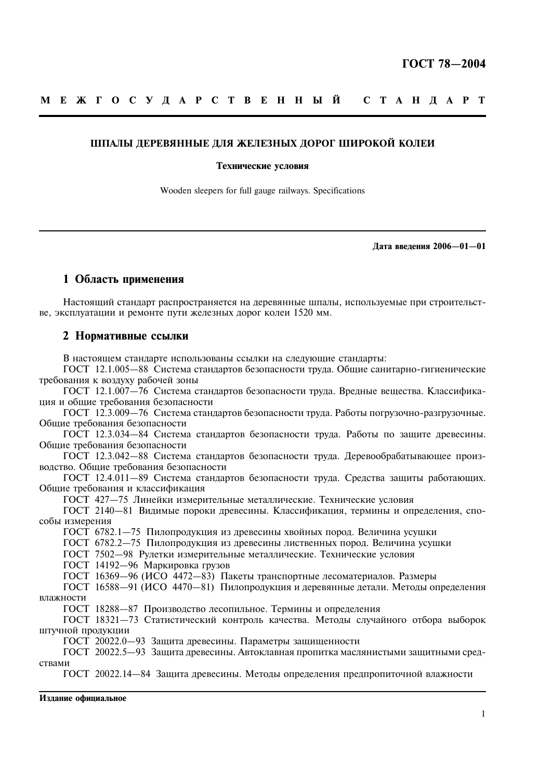## ШПАЛЫ ЛЕРЕВЯННЫЕ ДЛЯ ЖЕЛЕЗНЫХ ЛОРОГ ШИРОКОЙ КОЛЕИ

#### Технические условия

Wooden sleepers for full gauge railways. Specifications

Лата ввеления 2006-01-01

# 1 Область применения

Настоящий стандарт распространяется на деревянные шпалы, используемые при строительстве, эксплуатации и ремонте пути железных дорог колеи 1520 мм.

## 2 Нормативные ссылки

В настоящем стандарте использованы ссылки на следующие стандарты:

ГОСТ 12.1.005-88 Система стандартов безопасности труда. Общие санитарно-гигиенические требования к воздуху рабочей зоны

ГОСТ 12.1.007-76 Система стандартов безопасности труда. Вредные вещества. Классификация и общие требования безопасности

ГОСТ 12.3.009-76 Система стандартов безопасности труда. Работы погрузочно-разгрузочные. Обшие требования безопасности

ГОСТ 12.3.034-84 Система стандартов безопасности труда. Работы по защите древесины. Общие требования безопасности

ГОСТ 12.3.042-88 Система стандартов безопасности труда. Деревообрабатывающее производство. Общие требования безопасности

ГОСТ 12.4.011-89 Система стандартов безопасности труда. Средства защиты работающих. Общие требования и классификация

ГОСТ 427-75 Линейки измерительные металлические. Технические условия

ГОСТ 2140-81 Видимые пороки древесины. Классификация, термины и определения, способы измерения

ГОСТ 6782.1-75 Пилопродукция из древесины хвойных пород. Величина усушки

ГОСТ 6782.2-75 Пилопролукция из лревесины лиственных порол. Величина усушки

ГОСТ 7502-98 Рулетки измерительные металлические. Технические условия

ГОСТ 14192-96 Маркировка грузов

ГОСТ 16369-96 (ИСО  $\overline{4472-83}$ ) Пакеты транспортные лесоматериалов. Размеры

ГОСТ 16588-91 (ИСО 4470-81) Пилопродукция и деревянные детали. Методы определения влажности

ГОСТ 18288-87 Производство лесопильное. Термины и определения

ГОСТ 18321-73 Статистический контроль качества. Методы случайного отбора выборок штучной продукции

ГОСТ 20022.0-93 Защита древесины. Параметры защищенности

ГОСТ 20022.5-93 Защита древесины. Автоклавная пропитка маслянистыми защитными средствами

ГОСТ 20022.14-84 Защита древесины. Методы определения предпропиточной влажности

Излание официальное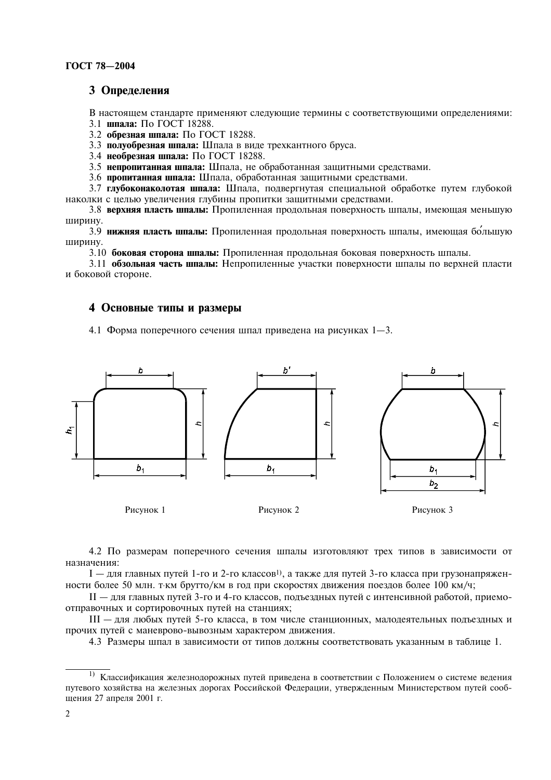# 3 Определения

В настоящем стандарте применяют следующие термины с соответствующими определениями: 3.1 шпала: По ГОСТ 18288.

3.2 обрезная шпала: По ГОСТ 18288.

3.3 полуобрезная шпала: Шпала в виде трехкантного бруса.

3.4 необрезная шпала: По ГОСТ 18288.

3.5 непропитанная шпала: Шпала, не обработанная защитными средствами.

3.6 пропитанная шпала: Шпала, обработанная защитными средствами.

3.7 глубоконаколотая шпала: Шпала, подвергнутая специальной обработке путем глубокой наколки с целью увеличения глубины пропитки защитными средствами.

3.8 верхняя пласть шпалы: Пропиленная продольная поверхность шпалы, имеющая меньшую **ШИРИНУ.** 

3.9 нижняя пласть шпалы: Пропиленная продольная поверхность шпалы, имеющая большую ШИРИНУ.

3.10 боковая сторона шпалы: Пропиленная продольная боковая поверхность шпалы.

3.11 обзольная часть шпалы: Непропиленные участки поверхности шпалы по верхней пласти и боковой стороне.

# 4 Основные типы и размеры

4.1 Форма поперечного сечения шпал приведена на рисунках 1-3.



4.2 По размерам поперечного сечения шпалы изготовляют трех типов в зависимости от назначения:

I — для главных путей 1-го и 2-го классов<sup>1</sup>, а также для путей 3-го класса при грузонапряженности более 50 млн. т-км брутто/км в год при скоростях движения поездов более 100 км/ч;

II — для главных путей 3-го и 4-го классов, полъезлных путей с интенсивной работой, приемоотправочных и сортировочных путей на станциях:

III - для любых путей 5-го класса, в том числе станционных, малодеятельных подъездных и прочих путей с маневрово-вывозным характером движения.

4.3 Размеры шпал в зависимости от типов должны соответствовать указанным в таблице 1.

<sup>&</sup>lt;sup>1)</sup> Классификация железнодорожных путей приведена в соответствии с Положением о системе ведения путевого хозяйства на железных дорогах Российской Федерации, утвержденным Министерством путей сообшения 27 апреля 2001 г.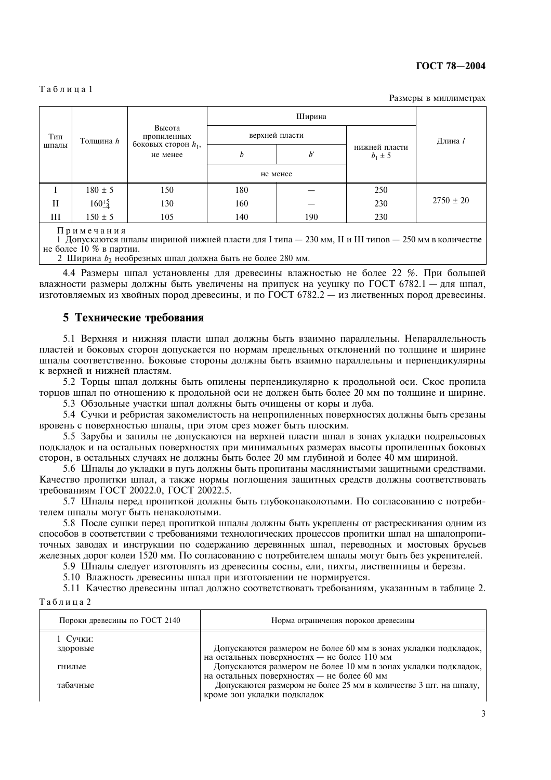#### ГОСТ 78-2004

#### Таблина 1

Размеры в миллиметрах

|                                  |                 | Высота<br>пропиленных<br>боковых сторон $h_1$ , |              |                              |     |               |  |
|----------------------------------|-----------------|-------------------------------------------------|--------------|------------------------------|-----|---------------|--|
| Тип<br>Толщина <i>h</i><br>шпалы | верхней пласти  |                                                 |              | Длина 1                      |     |               |  |
|                                  | не менее        | h                                               | $b^{\prime}$ | нижней пласти<br>$b_1 \pm 5$ |     |               |  |
|                                  |                 |                                                 | не менее     |                              |     |               |  |
|                                  | $180 \pm 5$     | 150                                             | 180          |                              | 250 |               |  |
| П                                | $160^{+5}_{-4}$ | 130                                             | 160          |                              | 230 | $2750 \pm 20$ |  |
| Ш                                | $150 \pm 5$     | 105                                             | 140          | 190                          | 230 |               |  |

Примечания

1 Допускаются шпалы шириной нижней пласти для I типа — 230 мм, II и III типов — 250 мм в количестве не более 10 % в партии.

2 Ширина  $b_2$  необрезных шпал должна быть не более 280 мм.

4.4 Размеры шпал установлены для древесины влажностью не более 22 %. При большей влажности размеры должны быть увеличены на припуск на усушку по ГОСТ 6782.1 - для шпал, изготовляемых из хвойных пород древесины, и по ГОСТ 6782.2 — из лиственных пород древесины.

# 5 Технические требования

5.1 Верхняя и нижняя пласти шпал должны быть взаимно параллельны. Непараллельность пластей и боковых сторон допускается по нормам предельных отклонений по толщине и ширине шпалы соответственно. Боковые стороны должны быть взаимно параллельны и перпендикулярны к верхней и нижней пластям.

5.2 Торцы шпал должны быть опилены перпендикулярно к продольной оси. Скос пропила торцов шпал по отношению к продольной оси не должен быть более 20 мм по толщине и ширине.

5.3 Обзольные участки шпал должны быть очищены от коры и луба.

5.4 Сучки и ребристая закомелистость на непропиленных поверхностях должны быть срезаны вровень с поверхностью шпалы, при этом срез может быть плоским.

5.5 Зарубы и запилы не допускаются на верхней пласти шпал в зонах укладки подрельсовых подкладок и на остальных поверхностях при минимальных размерах высоты пропиленных боковых сторон, в остальных случаях не должны быть более 20 мм глубиной и более 40 мм шириной.

5.6 Шпалы до укладки в путь должны быть пропитаны маслянистыми защитными средствами. Качество пропитки шпал, а также нормы поглощения защитных средств должны соответствовать требованиям ГОСТ 20022.0, ГОСТ 20022.5.

5.7 Шпалы перед пропиткой должны быть глубоконаколотыми. По согласованию с потребителем шпалы могут быть ненаколотыми.

5.8 После сушки перед пропиткой шпалы должны быть укреплены от растрескивания одним из способов в соответствии с требованиями технологических процессов пропитки шпал на шпалопропиточных заводах и инструкции по содержанию деревянных шпал, переводных и мостовых брусьев железных дорог колеи 1520 мм. По согласованию с потребителем шпалы могут быть без укрепителей.

5.9 Шпалы следует изготовлять из древесины сосны, ели, пихты, лиственницы и березы.

5.10 Влажность древесины шпал при изготовлении не нормируется.

5.11 Качество древесины шпал должно соответствовать требованиям, указанным в таблице 2.  $T<sub>2</sub>6$  $\pi$  $\pi$  $\pi$  $\sigma$  $2$ 

| Пороки древесины по ГОСТ 2140 | Норма ограничения пороков древесины                                                                           |
|-------------------------------|---------------------------------------------------------------------------------------------------------------|
| 1 Сучки:<br>здоровые          | Допускаются размером не более 60 мм в зонах укладки подкладок,<br>на остальных поверхностях - не более 110 мм |
| гнилые                        | Допускаются размером не более 10 мм в зонах укладки подкладок,<br>на остальных поверхностях - не более 60 мм  |
| табачные                      | Допускаются размером не более 25 мм в количестве 3 шт. на шпалу,<br>кроме зон укладки подкладок               |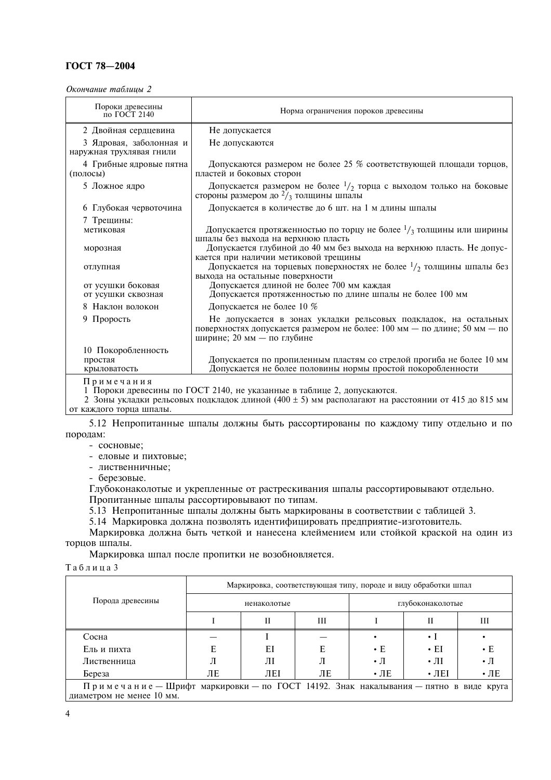# ГОСТ 78-2004

Окончание таблицы 2

| Пороки древесины<br>по ГОСТ 2140                    | Норма ограничения пороков древесины                                                                                                                                         |  |  |
|-----------------------------------------------------|-----------------------------------------------------------------------------------------------------------------------------------------------------------------------------|--|--|
| 2 Двойная сердцевина                                | Не допускается                                                                                                                                                              |  |  |
| 3 Ядровая, заболонная и<br>наружная трухлявая гнили | Не допускаются                                                                                                                                                              |  |  |
| 4 Грибные ядровые пятна<br>(полосы)                 | Допускаются размером не более 25 % соответствующей площади торцов,<br>пластей и боковых сторон                                                                              |  |  |
| 5 Ложное ядро                                       | Допускается размером не более $1/2$ торца с выходом только на боковые<br>стороны размером до $2/3$ толщины шпалы                                                            |  |  |
| 6 Глубокая червоточина                              | Допускается в количестве до 6 шт. на 1 м длины шпалы                                                                                                                        |  |  |
| 7 Трещины:                                          |                                                                                                                                                                             |  |  |
| метиковая                                           | Допускается протяженностью по торцу не более $\frac{1}{3}$ толщины или ширины                                                                                               |  |  |
| морозная                                            | шпалы без выхода на верхнюю пласть<br>Допускается глубиной до 40 мм без выхода на верхнюю пласть. Не допус-<br>кается при наличии метиковой трещины                         |  |  |
| отлупная                                            | Допускается на торцевых поверхностях не более $1/2$ толщины шпалы без<br>выхода на остальные поверхности                                                                    |  |  |
| от усушки боковая                                   | Допускается длиной не более 700 мм каждая                                                                                                                                   |  |  |
| от усушки сквозная                                  | Допускается протяженностью по длине шпалы не более 100 мм                                                                                                                   |  |  |
| 8 Наклон волокон                                    | Допускается не более 10 %                                                                                                                                                   |  |  |
| 9 Прорость                                          | Не допускается в зонах укладки рельсовых подкладок, на остальных<br>поверхностях допускается размером не более: 100 мм - по длине; 50 мм - по<br>ширине; 20 мм - по глубине |  |  |
| 10 Покоробленность                                  |                                                                                                                                                                             |  |  |
| простая                                             | Допускается по пропиленным пластям со стрелой прогиба не более 10 мм                                                                                                        |  |  |
| крыловатость                                        | Допускается не более половины нормы простой покоробленности                                                                                                                 |  |  |
| Примечания                                          | 1 Пороки древесины по ГОСТ 2140, не указанные в таблице 2, допускаются.                                                                                                     |  |  |

2 Зоны укладки рельсовых подкладок длиной (400 ± 5) мм располагают на расстоянии от 415 до 815 мм от каждого торца шпалы.

5.12 Непропитанные шпалы должны быть рассортированы по каждому типу отдельно и по породам:

- сосновые;
- еловые и пихтовые;
- лиственничные;
- березовые.

Глубоконаколотые и укрепленные от растрескивания шпалы рассортировывают отдельно. Пропитанные шпалы рассортировывают по типам.

5.13 Непропитанные шпалы должны быть маркированы в соответствии с таблицей 3.

5.14 Маркировка должна позволять идентифицировать предприятие-изготовитель.

Маркировка должна быть четкой и нанесена клеймением или стойкой краской на один из торцов шпалы.

Маркировка шпал после пропитки не возобновляется.

Таблица 3

|                                                                                                                   | Маркировка, соответствующая типу, породе и виду обработки шпал |     |    |                  |               |                    |
|-------------------------------------------------------------------------------------------------------------------|----------------------------------------------------------------|-----|----|------------------|---------------|--------------------|
| Порода древесины                                                                                                  | ненаколотые                                                    |     |    | глубоконаколотые |               |                    |
|                                                                                                                   |                                                                | Н   | Ш  |                  | Н             | Ш                  |
| Сосна                                                                                                             |                                                                |     |    |                  |               |                    |
| Ель и пихта                                                                                                       | Е                                                              | ΕI  |    | $\cdot$ E        | $\cdot$ EI    | $\cdot$ E          |
| Лиственница                                                                                                       | Л                                                              | ЛΙ  |    | $\cdot$ $\pi$    | $\cdot$ $\Pi$ | $\cdot \mathbb{I}$ |
| Береза                                                                                                            | ЛЕ                                                             | ЛEI | ЛE | $\cdot$ JIE      | $\cdot$ JIEI  | $\cdot$ JIE        |
| Примечание — Шрифт маркировки — по ГОСТ 14192. Знак накалывания — пятно в виде круга<br>диаметром не менее 10 мм. |                                                                |     |    |                  |               |                    |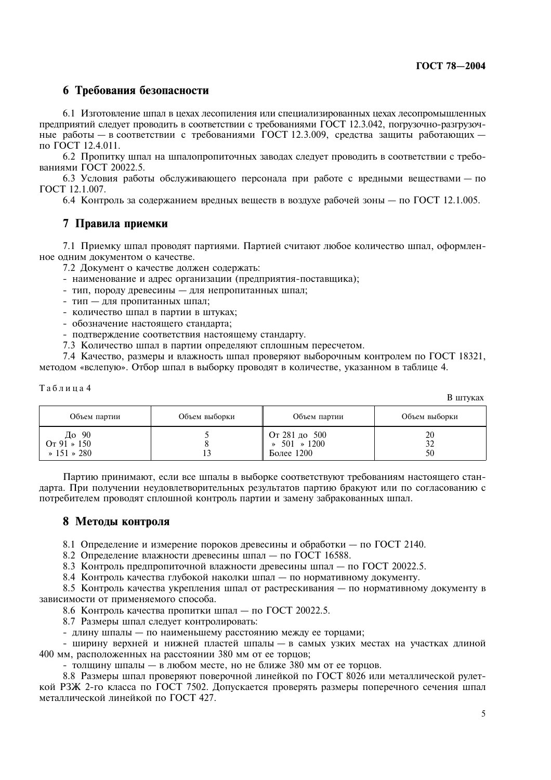R HITVK9Y

# 6 Требования безопасности

6.1 Изготовление шпал в цехах лесопиления или специализированных цехах лесопромышленных предприятий следует проводить в соответствии с требованиями ГОСТ 12.3.042, погрузочно-разгрузочные работы - в соответствии с требованиями ГОСТ 12.3.009, средства защиты работающих по ГОСТ 12.4.011.

6.2 Пропитку шпал на шпалопропиточных заводах следует проводить в соответствии с требованиями ГОСТ 20022.5.

6.3 Условия работы обслуживающего персонала при работе с вредными веществами - по ГОСТ 12.1.007.

6.4 Контроль за содержанием вредных веществ в воздухе рабочей зоны — по ГОСТ 12.1.005.

# 7 Правила приемки

7.1 Приемку шпал проводят партиями. Партией считают любое количество шпал, оформленное одним документом о качестве.

7.2 Документ о качестве должен содержать:

- наименование и адрес организации (предприятия-поставщика);
- тип, породу древесины для непропитанных шпал;
- тип для пропитанных шпал:
- количество шпал в партии в штуках;
- обозначение настоящего стандарта;
- подтверждение соответствия настоящему стандарту.
- 7.3 Количество шпал в партии определяют сплошным пересчетом.

7.4 Качество, размеры и влажность шпал проверяют выборочным контролем по ГОСТ 18321, методом «вслепую». Отбор шпал в выборку проводят в количестве, указанном в таблице 4.

#### Таблица 4

| Объем партии                                         | Объем выборки | Объем партии                                          | Объем выборки |
|------------------------------------------------------|---------------|-------------------------------------------------------|---------------|
| До 90<br>$Or 91 \times 150$<br>$\ast$ 151 $\ast$ 280 |               | От 281 до 500<br>$\ast$ 501 $\ast$ 1200<br>Более 1200 | 20<br>50      |

Партию принимают, если все шпалы в выборке соответствуют требованиям настоящего стандарта. При получении неудовлетворительных результатов партию бракуют или по согласованию с потребителем проводят сплошной контроль партии и замену забракованных шпал.

# 8 Методы контроля

8.1 Определение и измерение пороков древесины и обработки — по ГОСТ 2140.

8.2 Определение влажности древесины шпал - по ГОСТ 16588.

8.3 Контроль предпропиточной влажности древесины шпал - по ГОСТ 20022.5.

8.4 Контроль качества глубокой наколки шпал - по нормативному документу.

8.5 Контроль качества укрепления шпал от растрескивания — по нормативному документу в зависимости от применяемого способа.

8.6 Контроль качества пропитки шпал - по ГОСТ 20022.5.

8.7 Размеры шпал следует контролировать:

- длину шпалы - по наименьшему расстоянию между ее торцами;

- ширину верхней и нижней пластей шпалы - в самых узких местах на участках длиной 400 мм, расположенных на расстоянии 380 мм от ее торцов;

- толщину шпалы - в любом месте, но не ближе 380 мм от ее торцов.

8.8 Размеры шпал проверяют поверочной линейкой по ГОСТ 8026 или металлической рулеткой РЗЖ 2-го класса по ГОСТ 7502. Допускается проверять размеры поперечного сечения шпал металлической линейкой по ГОСТ 427.